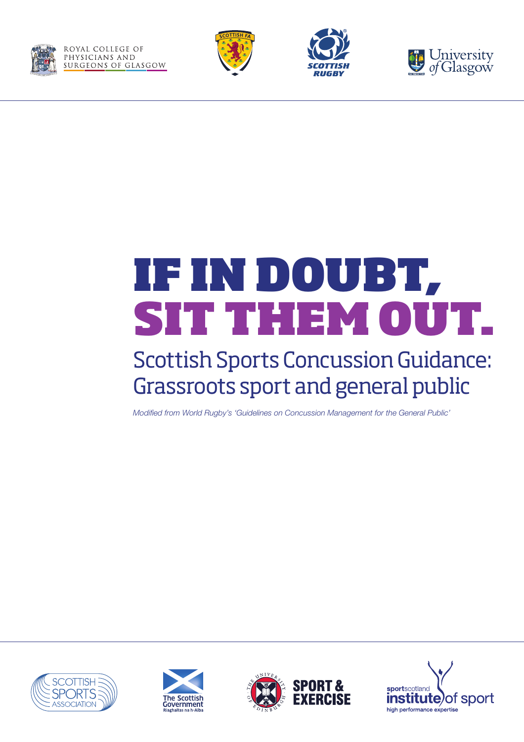







# IF IN DOUBT, SIT THEM OUT.

# Scottish Sports Concussion Guidance: Grassroots sport and general public

*Modified from World Rugby's 'Guidelines on Concussion Management for the General Public'*







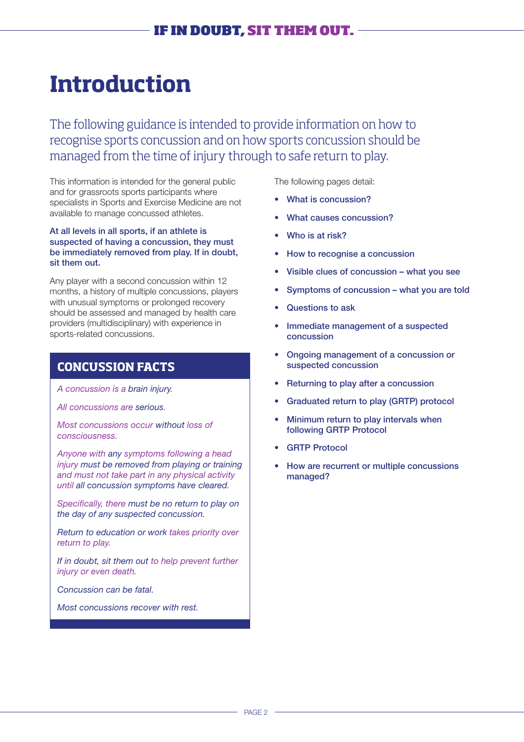# **Introduction**

The following guidance is intended to provide information on how to recognise sports concussion and on how sports concussion should be managed from the time of injury through to safe return to play.

This information is intended for the general public and for grassroots sports participants where specialists in Sports and Exercise Medicine are not available to manage concussed athletes.

#### At all levels in all sports, if an athlete is suspected of having a concussion, they must be immediately removed from play. If in doubt, sit them out.

Any player with a second concussion within 12 months, a history of multiple concussions, players with unusual symptoms or prolonged recovery should be assessed and managed by health care providers (multidisciplinary) with experience in sports-related concussions.

## **CONCUSSION FACTS**

*A concussion is a brain injury.*

*All concussions are serious.*

*Most concussions occur without loss of consciousness.*

*Anyone with any symptoms following a head injury must be removed from playing or training and must not take part in any physical activity until all concussion symptoms have cleared.* 

*Specifically, there must be no return to play on the day of any suspected concussion.*

*Return to education or work takes priority over return to play.*

*If in doubt, sit them out to help prevent further injury or even death.*

*Concussion can be fatal.*

*Most concussions recover with rest.*

The following pages detail:

- What is concussion?
- What causes concussion?
- Who is at risk?
- How to recognise a concussion
- Visible clues of concussion what you see
- Symptoms of concussion what you are told
- Questions to ask
- Immediate management of a suspected concussion
- Ongoing management of a concussion or suspected concussion
- Returning to play after a concussion
- Graduated return to play (GRTP) protocol
- Minimum return to play intervals when following GRTP Protocol
- **GRTP Protocol**
- How are recurrent or multiple concussions managed?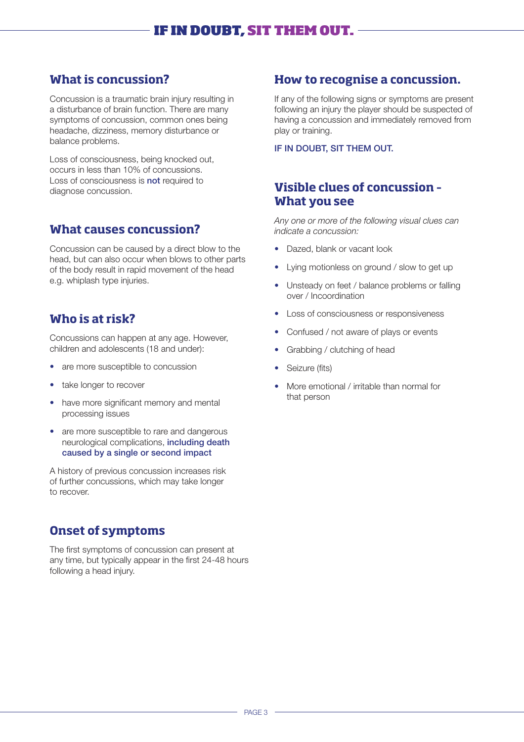# **What is concussion?**

Concussion is a traumatic brain injury resulting in a disturbance of brain function. There are many symptoms of concussion, common ones being headache, dizziness, memory disturbance or balance problems.

Loss of consciousness, being knocked out, occurs in less than 10% of concussions. Loss of consciousness is not required to diagnose concussion.

### **What causes concussion?**

Concussion can be caused by a direct blow to the head, but can also occur when blows to other parts of the body result in rapid movement of the head e.g. whiplash type injuries.

# **Who is at risk?**

Concussions can happen at any age. However, children and adolescents (18 and under):

- are more susceptible to concussion
- take longer to recover
- have more significant memory and mental processing issues
- are more susceptible to rare and dangerous neurological complications, including death caused by a single or second impact

A history of previous concussion increases risk of further concussions, which may take longer to recover.

# **Onset of symptoms**

The first symptoms of concussion can present at any time, but typically appear in the first 24-48 hours following a head injury.

# **How to recognise a concussion.**

If any of the following signs or symptoms are present following an injury the player should be suspected of having a concussion and immediately removed from play or training.

IF IN DOUBT, SIT THEM OUT.

# **Visible clues of concussion – What you see**

*Any one or more of the following visual clues can indicate a concussion:*

- Dazed, blank or vacant look
- Lying motionless on ground / slow to get up
- Unsteady on feet / balance problems or falling over / Incoordination
- Loss of consciousness or responsiveness
- Confused / not aware of plays or events
- Grabbing / clutching of head
- Seizure (fits)
- More emotional / irritable than normal for that person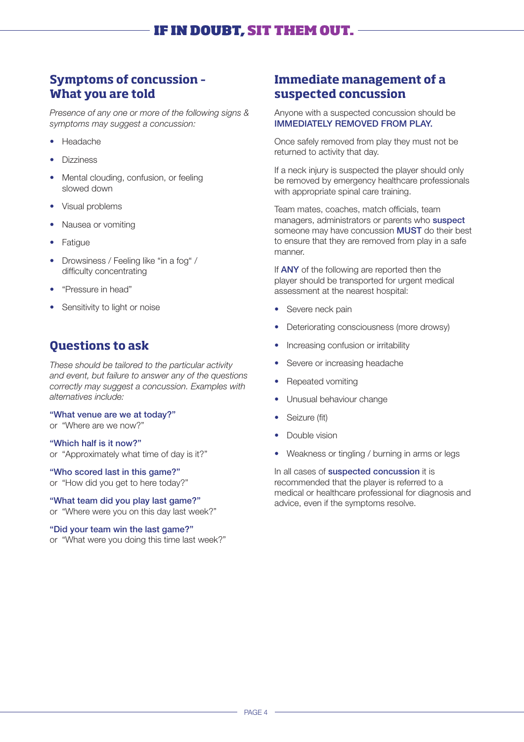# **Symptoms of concussion – What you are told**

*Presence of any one or more of the following signs & symptoms may suggest a concussion:*

- Headache
- Dizziness
- Mental clouding, confusion, or feeling slowed down
- Visual problems
- Nausea or vomiting
- Fatigue
- Drowsiness / Feeling like "in a fog" / difficulty concentrating
- "Pressure in head"
- Sensitivity to light or noise

# **Questions to ask**

*These should be tailored to the particular activity and event, but failure to answer any of the questions correctly may suggest a concussion. Examples with alternatives include:*

#### "What venue are we at today?"

or "Where are we now?"

"Which half is it now?" or "Approximately what time of day is it?"

#### "Who scored last in this game?"

or "How did you get to here today?"

#### "What team did you play last game?"

or "Where were you on this day last week?"

#### "Did your team win the last game?"

or "What were you doing this time last week?"

# **Immediate management of a suspected concussion**

Anyone with a suspected concussion should be IMMEDIATELY REMOVED FROM PLAY.

Once safely removed from play they must not be returned to activity that day.

If a neck injury is suspected the player should only be removed by emergency healthcare professionals with appropriate spinal care training.

Team mates, coaches, match officials, team managers, administrators or parents who **suspect** someone may have concussion **MUST** do their best to ensure that they are removed from play in a safe manner.

If ANY of the following are reported then the player should be transported for urgent medical assessment at the nearest hospital:

- Severe neck pain
- Deteriorating consciousness (more drowsy)
- Increasing confusion or irritability
- Severe or increasing headache
- Repeated vomiting
- Unusual behaviour change
- Seizure (fit)
- Double vision
- Weakness or tingling / burning in arms or legs

In all cases of suspected concussion it is recommended that the player is referred to a medical or healthcare professional for diagnosis and advice, even if the symptoms resolve.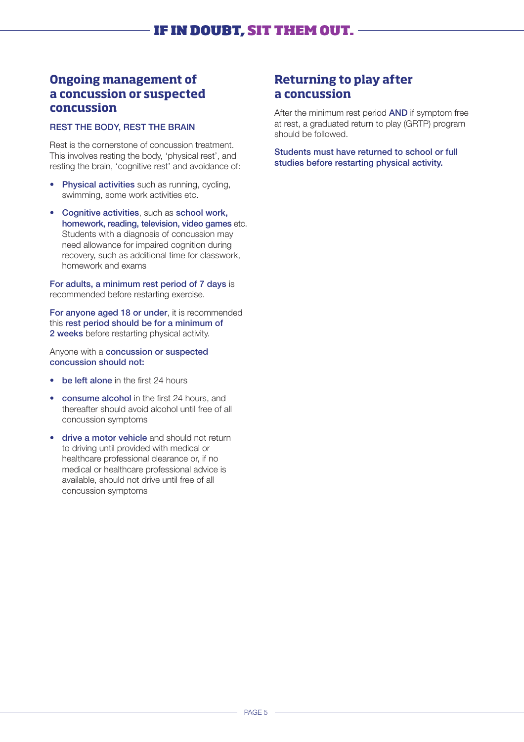# **Ongoing management of a concussion or suspected concussion**

#### REST THE BODY, REST THE BRAIN

Rest is the cornerstone of concussion treatment. This involves resting the body, 'physical rest', and resting the brain, 'cognitive rest' and avoidance of:

- Physical activities such as running, cycling, swimming, some work activities etc.
- Cognitive activities, such as school work, homework, reading, television, video games etc. Students with a diagnosis of concussion may need allowance for impaired cognition during recovery, such as additional time for classwork, homework and exams

For adults, a minimum rest period of 7 days is recommended before restarting exercise.

For anyone aged 18 or under, it is recommended this rest period should be for a minimum of 2 weeks before restarting physical activity.

Anyone with a concussion or suspected concussion should not:

- be left alone in the first 24 hours
- consume alcohol in the first 24 hours, and thereafter should avoid alcohol until free of all concussion symptoms
- drive a motor vehicle and should not return to driving until provided with medical or healthcare professional clearance or, if no medical or healthcare professional advice is available, should not drive until free of all concussion symptoms

# **Returning to play after a concussion**

After the minimum rest period **AND** if symptom free at rest, a graduated return to play (GRTP) program should be followed.

Students must have returned to school or full studies before restarting physical activity.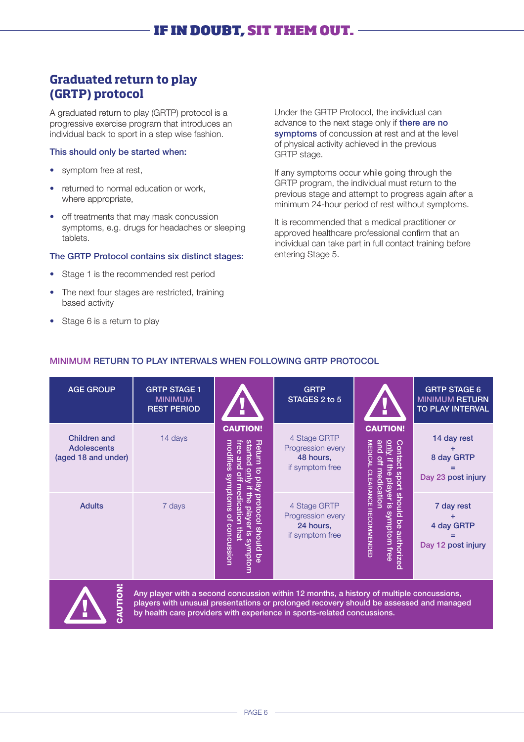# **Graduated return to play (GRTP) protocol**

A graduated return to play (GRTP) protocol is a progressive exercise program that introduces an individual back to sport in a step wise fashion.

#### This should only be started when:

- symptom free at rest,
- returned to normal education or work, where appropriate,
- off treatments that may mask concussion symptoms, e.g. drugs for headaches or sleeping tablets.

#### The GRTP Protocol contains six distinct stages:

- Stage 1 is the recommended rest period
- The next four stages are restricted, training based activity
- Stage 6 is a return to play

Under the GRTP Protocol, the individual can advance to the next stage only if there are no symptoms of concussion at rest and at the level of physical activity achieved in the previous GRTP stage.

If any symptoms occur while going through the GRTP program, the individual must return to the previous stage and attempt to progress again after a minimum 24-hour period of rest without symptoms.

It is recommended that a medical practitioner or approved healthcare professional confirm that an individual can take part in full contact training before entering Stage 5.

| <b>AGE GROUP</b>                                                                                                                                                                                                                                                              | <b>GRTP STAGE 1</b><br><b>MINIMUM</b><br><b>REST PERIOD</b> |                                                                                                                                            | <b>GRTP</b><br>STAGES 2 to 5                                      |                                                                                                            | <b>GRTP STAGE 6</b><br><b>MINIMUM RETURN</b><br><b>TO PLAY INTERVAL</b> |  |  |
|-------------------------------------------------------------------------------------------------------------------------------------------------------------------------------------------------------------------------------------------------------------------------------|-------------------------------------------------------------|--------------------------------------------------------------------------------------------------------------------------------------------|-------------------------------------------------------------------|------------------------------------------------------------------------------------------------------------|-------------------------------------------------------------------------|--|--|
| <b>Children and</b><br><b>Adolescents</b><br>(aged 18 and under)                                                                                                                                                                                                              | 14 days                                                     | <b>CAUTION!</b><br>started<br>modifies<br>Return<br><b>Tree</b><br>and<br>and<br>$\overline{5}$<br>$\approx$<br>pla                        | 4 Stage GRTP<br>Progression every<br>48 hours,<br>if symptom free | <b>CAUTION!</b><br><u>only</u> if the<br><b>MEDICAL</b><br>$\bar{a}$<br>o<br>med                           | 14 day rest<br>8 day GRTP<br>Day 23 post injury                         |  |  |
| <b>Adults</b>                                                                                                                                                                                                                                                                 | 7 days                                                      | <b>Sunptoms</b><br>medication that<br>the<br>protocol<br>playe<br>of concussion<br><b>should</b><br>$\overline{a}$<br>symptom<br><b>De</b> | 4 Stage GRTP<br>Progression every<br>24 hours,<br>if symptom free | Contact sport should be authorized<br><b>CLEARANCE RECOMMENDED</b><br>player is<br>icatior<br>symptom free | 7 day rest<br>4 day GRTP<br>Day 12 post injury                          |  |  |
| <b>NOLD</b><br>Any player with a second concussion within 12 months, a history of multiple concussions,<br>players with unusual presentations or prolonged recovery should be assessed and managed<br>by health care providers with experience in sports-related concussions. |                                                             |                                                                                                                                            |                                                                   |                                                                                                            |                                                                         |  |  |

#### MINIMUM RETURN TO PLAY INTERVALS WHEN FOLLOWING GRTP PROTOCOL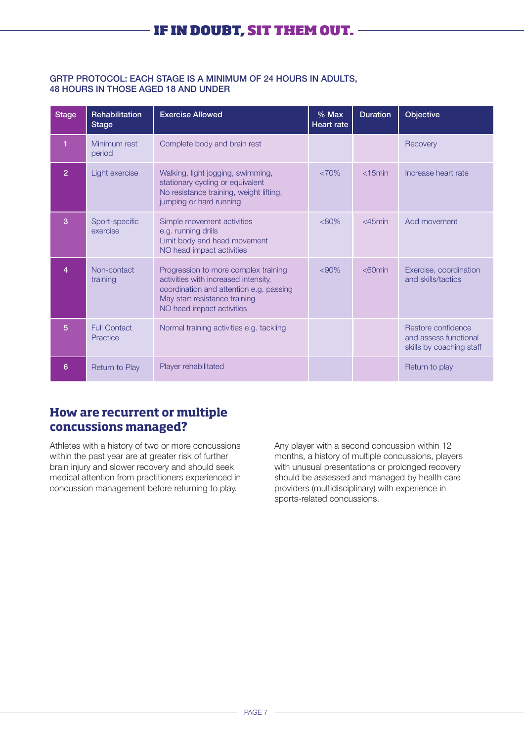#### GRTP PROTOCOL: EACH STAGE IS A MINIMUM OF 24 HOURS IN ADULTS, 48 HOURS IN THOSE AGED 18 AND UNDER

| <b>Stage</b>   | Rehabilitation<br><b>Stage</b>  | <b>Exercise Allowed</b>                                                                                                                                                               | $%$ Max<br><b>Heart rate</b> | <b>Duration</b> | Objective                                                               |
|----------------|---------------------------------|---------------------------------------------------------------------------------------------------------------------------------------------------------------------------------------|------------------------------|-----------------|-------------------------------------------------------------------------|
| 1              | Minimum rest<br>period          | Complete body and brain rest                                                                                                                                                          |                              |                 | Recovery                                                                |
| $\overline{2}$ | Light exercise                  | Walking, light jogging, swimming,<br>stationary cycling or equivalent<br>No resistance training, weight lifting,<br>jumping or hard running                                           | $<70\%$                      | $<$ 15 $min$    | Increase heart rate                                                     |
| 3              | Sport-specific<br>exercise      | Simple movement activities<br>e.g. running drills<br>Limit body and head movement<br>NO head impact activities                                                                        | $<80\%$                      | $<$ 45 $min$    | Add movement                                                            |
| Δ              | Non-contact<br>training         | Progression to more complex training<br>activities with increased intensity,<br>coordination and attention e.g. passing<br>May start resistance training<br>NO head impact activities | $<90\%$                      | $<$ 60 $min$    | Exercise, coordination<br>and skills/tactics                            |
| 5              | <b>Full Contact</b><br>Practice | Normal training activities e.g. tackling                                                                                                                                              |                              |                 | Restore confidence<br>and assess functional<br>skills by coaching staff |
| 6              | Return to Play                  | Player rehabilitated                                                                                                                                                                  |                              |                 | Return to play                                                          |

# **How are recurrent or multiple concussions managed?**

Athletes with a history of two or more concussions within the past year are at greater risk of further brain injury and slower recovery and should seek medical attention from practitioners experienced in concussion management before returning to play.

Any player with a second concussion within 12 months, a history of multiple concussions, players with unusual presentations or prolonged recovery should be assessed and managed by health care providers (multidisciplinary) with experience in sports-related concussions.